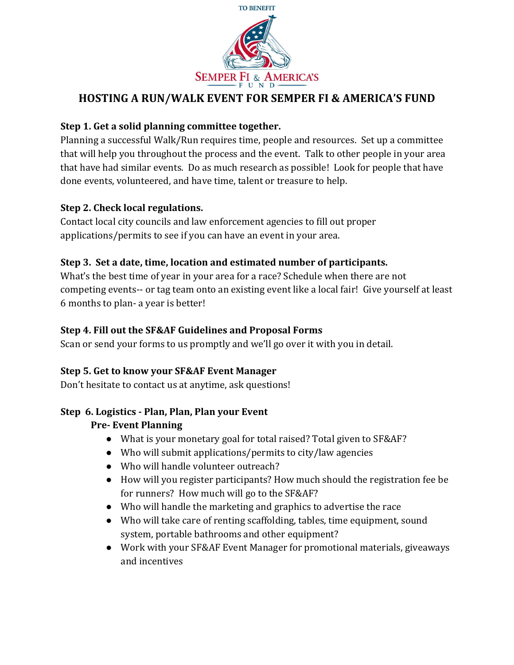

# HOSTING A RUN/WALK EVENT FOR SEMPER FI & AMERICA'S FUND

### **Step 1. Get a solid planning committee together.**

Planning a successful Walk/Run requires time, people and resources. Set up a committee that will help you throughout the process and the event. Talk to other people in your area that have had similar events. Do as much research as possible! Look for people that have done events, volunteered, and have time, talent or treasure to help.

#### **Step 2. Check local regulations.**

Contact local city councils and law enforcement agencies to fill out proper applications/permits to see if you can have an event in your area.

### **Step 3. Set a date, time, location and estimated number of participants.**

What's the best time of year in your area for a race? Schedule when there are not competing events-- or tag team onto an existing event like a local fair! Give yourself at least 6 months to plan- a year is better!

### **Step 4. Fill out the SF&AF Guidelines and Proposal Forms**

Scan or send your forms to us promptly and we'll go over it with you in detail.

#### **Step 5. Get to know your SF&AF Event Manager**

Don't hesitate to contact us at anytime, ask questions!

### **Step 6. Logistics - Plan, Plan, Plan your Event**

### **Pre- Event Planning**

- What is your monetary goal for total raised? Total given to SF&AF?
- Who will submit applications/permits to city/law agencies
- Who will handle volunteer outreach?
- How will you register participants? How much should the registration fee be for runners? How much will go to the SF&AF?
- $\bullet$  Who will handle the marketing and graphics to advertise the race
- Who will take care of renting scaffolding, tables, time equipment, sound system, portable bathrooms and other equipment?
- Work with your SF&AF Event Manager for promotional materials, giveaways and incentives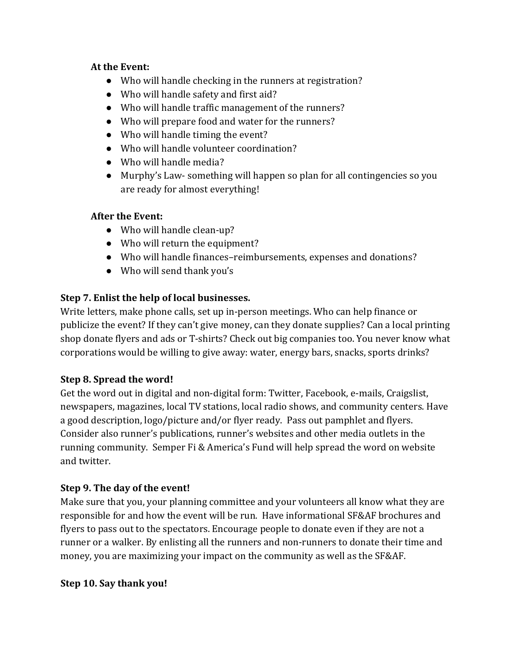#### At the Event:

- $\bullet$  Who will handle checking in the runners at registration?
- Who will handle safety and first aid?
- Who will handle traffic management of the runners?
- Who will prepare food and water for the runners?
- Who will handle timing the event?
- Who will handle volunteer coordination?
- Who will handle media?
- Murphy's Law- something will happen so plan for all contingencies so you are ready for almost everything!

# **After the Event:**

- Who will handle clean-up?
- Who will return the equipment?
- Who will handle finances-reimbursements, expenses and donations?
- Who will send thank you's

# **Step 7. Enlist the help of local businesses.**

Write letters, make phone calls, set up in-person meetings. Who can help finance or publicize the event? If they can't give money, can they donate supplies? Can a local printing shop donate flyers and ads or T-shirts? Check out big companies too. You never know what corporations would be willing to give away: water, energy bars, snacks, sports drinks?

# **Step 8. Spread the word!**

Get the word out in digital and non-digital form: Twitter, Facebook, e-mails, Craigslist, newspapers, magazines, local TV stations, local radio shows, and community centers. Have a good description, logo/picture and/or flyer ready. Pass out pamphlet and flyers. Consider also runner's publications, runner's websites and other media outlets in the running community. Semper Fi & America's Fund will help spread the word on website and twitter.

# **Step 9. The day of the event!**

Make sure that you, your planning committee and your volunteers all know what they are responsible for and how the event will be run. Have informational SF&AF brochures and flyers to pass out to the spectators. Encourage people to donate even if they are not a runner or a walker. By enlisting all the runners and non-runners to donate their time and money, you are maximizing your impact on the community as well as the SF&AF.

# **Step 10. Say thank you!**